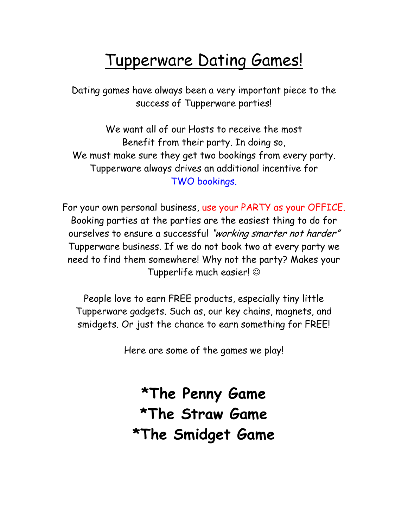# Tupperware Dating Games!

Dating games have always been a very important piece to the success of Tupperware parties!

We want all of our Hosts to receive the most Benefit from their party. In doing so, We must make sure they get two bookings from every party. Tupperware always drives an additional incentive for TWO bookings.

For your own personal business, use your PARTY as your OFFICE. Booking parties at the parties are the easiest thing to do for ourselves to ensure a successful "working smarter not harder" Tupperware business. If we do not book two at every party we need to find them somewhere! Why not the party? Makes your Tupperlife much easier! ☺

People love to earn FREE products, especially tiny little Tupperware gadgets. Such as, our key chains, magnets, and smidgets. Or just the chance to earn something for FREE!

Here are some of the games we play!

\*The Penny Game \*The Straw Game \*The Smidget Game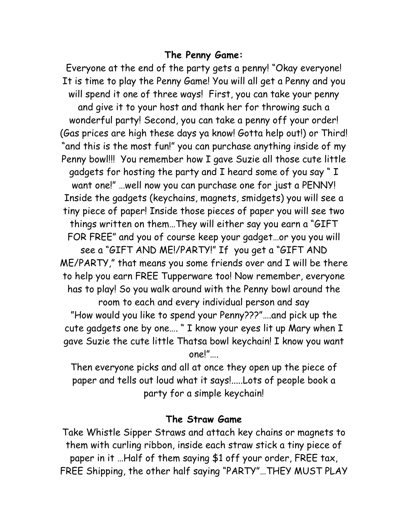### The Penny Game:

Everyone at the end of the party gets a penny! "Okay everyone! It is time to play the Penny Game! You will all get a Penny and you will spend it one of three ways! First, you can take your penny and give it to your host and thank her for throwing such a wonderful party! Second, you can take a penny off your order! (Gas prices are high these days ya know! Gotta help out!) or Third! "and this is the most fun!" you can purchase anything inside of my Penny bowl!!! You remember how I gave Suzie all those cute little gadgets for hosting the party and I heard some of you say " I want one!" …well now you can purchase one for just a PENNY! Inside the gadgets (keychains, magnets, smidgets) you will see a tiny piece of paper! Inside those pieces of paper you will see two things written on them…They will either say you earn a "GIFT FOR FREE" and you of course keep your gadget…or you you will see a "GIFT AND ME!/PARTY!" If you get a "GIFT AND ME/PARTY," that means you some friends over and I will be there to help you earn FREE Tupperware too! Now remember, everyone has to play! So you walk around with the Penny bowl around the room to each and every individual person and say "How would you like to spend your Penny???"….and pick up the cute gadgets one by one…. " I know your eyes lit up Mary when I gave Suzie the cute little Thatsa bowl keychain! I know you want one!"….

Then everyone picks and all at once they open up the piece of paper and tells out loud what it says!.....Lots of people book a party for a simple keychain!

### The Straw Game

Take Whistle Sipper Straws and attach key chains or magnets to them with curling ribbon, inside each straw stick a tiny piece of paper in it …Half of them saying \$1 off your order, FREE tax, FREE Shipping, the other half saying "PARTY"…THEY MUST PLAY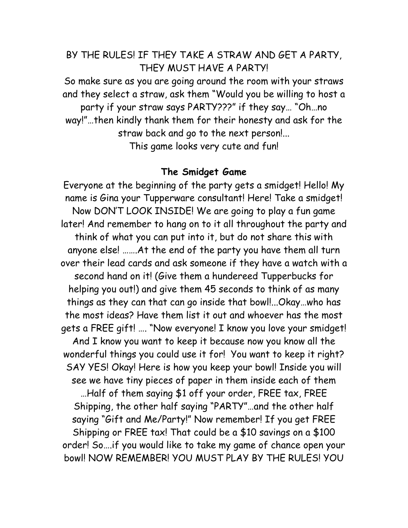## BY THE RULES! IF THEY TAKE A STRAW AND GET A PARTY, THEY MUST HAVE A PARTY!

So make sure as you are going around the room with your straws and they select a straw, ask them "Would you be willing to host a party if your straw says PARTY???" if they say… "Oh…no way!"…then kindly thank them for their honesty and ask for the straw back and go to the next person!... This game looks very cute and fun!

#### The Smidget Game

Everyone at the beginning of the party gets a smidget! Hello! My name is Gina your Tupperware consultant! Here! Take a smidget! Now DON'T LOOK INSIDE! We are going to play a fun game later! And remember to hang on to it all throughout the party and think of what you can put into it, but do not share this with anyone else! …….At the end of the party you have them all turn over their lead cards and ask someone if they have a watch with a second hand on it! (Give them a hundereed Tupperbucks for helping you out!) and give them 45 seconds to think of as many things as they can that can go inside that bowl!...Okay…who has the most ideas? Have them list it out and whoever has the most gets a FREE gift! …. "Now everyone! I know you love your smidget! And I know you want to keep it because now you know all the wonderful things you could use it for! You want to keep it right? SAY YES! Okay! Here is how you keep your bowl! Inside you will see we have tiny pieces of paper in them inside each of them …Half of them saying \$1 off your order, FREE tax, FREE Shipping, the other half saying "PARTY"…and the other half saying "Gift and Me/Party!" Now remember! If you get FREE Shipping or FREE tax! That could be a \$10 savings on a \$100 order! So….if you would like to take my game of chance open your bowl! NOW REMEMBER! YOU MUST PLAY BY THE RULES! YOU